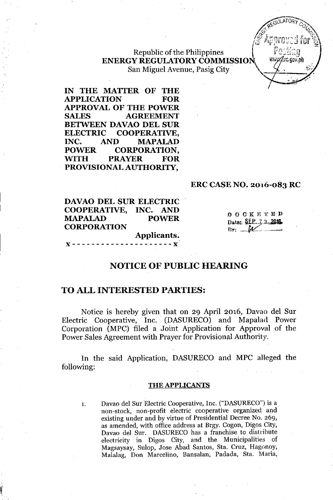

# Republic of the Philippines ENERGY REGULATORY COMMISSION San Miguel Avenue, Pasig City

IN THE MATTER OF THE APPLICATION FOR APPROVAL OF THE POWER SALES AGREEMENT BETWEEN DAVAO DEL SUR ELECTRIC COOPERATIVE, INC. AND MAPALAD POWER CORPORATION, WITH PRAYER FOR PROVISIONAL AUTHORITY,

# ERC CASE NO. 2016-083 RC

DAVAO DEL SUR ELECTRIC COOPERATIVE, INC. AND MAPALAD POWER CORPORATION Applicants.

**DOCKETED** Date: SEP. 2.1.2016  $By: M$ 

# NOTICE OF PUBLIC HEARING

# TO ALL INTERESTED PARTIES:

Notice is hereby given that on 29 April 2016, Davao del Sur Electric Cooperative, Inc. (DASURECO) and Mapalad Power Corporation (MPC) filed a Joint Application for Approval of the Power Sales Agreement with Prayer for Provisional Authority.

In the said Application, DASURECO and MPC alleged the following:

#### THE APPLICANTS

1. Davao del Sur Electric Cooperative, Inc. ("DASURECO") is a non-stock, non-profit electric cooperative organized and existing under and by virtue of Presidential Decree No. 269, as amended, with office address at Brgy. Cogon, Digos City, Davao del Sur. DASURECO has a franchise to distribute electricity in Digos City, and the Municipalities of Magsaysay, Sulop, Jose Abad Santos, Sta. Cruz, Hagonoy, Malalag, Don Marcelino, Bansalan, Padada, Sta. Maria,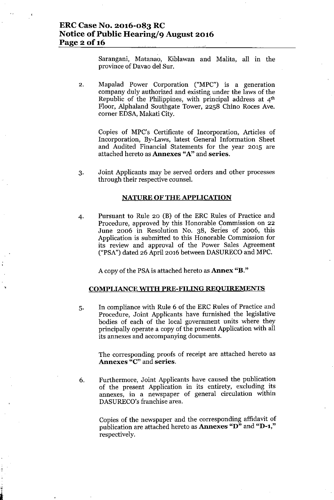Sarangani, Matanao, Kiblawan and Malita, all in the province of Davao del Sur.

2. Mapalad Power Corporation ("MPC") is a generation company duly authorized and existing under the laws of the Republic of the Philippines, with principal address at 4th Floor, Alphaland Southgate Tower, 2258 Chino Roces Ave. corner EDSA, Makati City.

Copies of MPC's Certificate of Incorporation, Articles of Incorporation, By-Laws, latest General Information Sheet and Audited Financial Statements for the year 2015 are attached hereto as Annexes "A" and series.

3. Joint Applicants may be served orders and other processes through their respective counsel.

#### NATURE OF THE APPLICATION

4. Pursuant to Rule 20 (B) of the ERC Rules of Practice and Procedure, approved by this Honorable Commission on 22 June 2006 in Resolution No. 38, Series of 2006, this Application is submitted to this Honorable Commission for its review and approval of the Power Sales Agreement ("PSA") dated 26 April 2016 between DASURECOand MPC.

A copy of the PSAis attached hereto as Annex "B."

#### COMPLIANCE WITH PRE-FILING REOUIREMENTS

5. In compliance with Rule 6 of the ERC Rules of Practice and Procedure, Joint Applicants have furnished the legislative bodies of each of the local government units where they principally operate a copy of the present Application with all its annexes and accompanying documents.

> The corresponding proofs of receipt are attached hereto as Annexes "C" and series.

6. Furthermore, Joint Applicants have caused the publication of the present Application in its entirety, excluding its annexes, in a newspaper of general circulation within DASURECO's franchise area.

> Copies of the newspaper and the corresponding affidavit of publication are attached hereto as Annexes "D" and "D-1," respectively.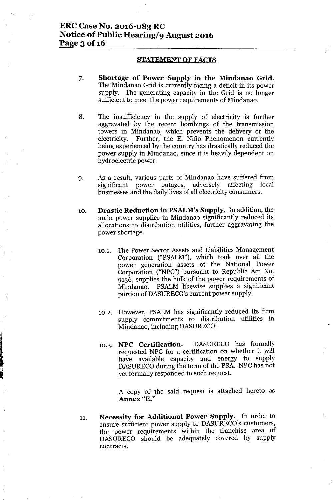#### STATEMENT OF FACTS

- 7. Shortage of Power Supply in the Mindanao Grid. The Mindanao Grid is currently facing a deficit in its power supply. The generating capacity in the Grid is no longer sufficient to meet the power requirements of Mindanao.
- 8. The insufficiency in the supply of electricity is further aggravated by the recent bombings of the transmission towers in Mindanao, which prevents the delivery of the electricity. Further, the El Niño Phenomenon currently being experienced by the country has drastically reduced the power supply in Mindanao, since it is heavily dependent on hydroelectric power.
- 9. As a result, various parts of Mindanao have suffered from significant power outages, adversely affecting local businesses and the daily lives of all electricity consumers.
- 10. Drastic Reduction in PSALM's Supply. In addition, the main power supplier in Mindanao significantly reduced its allocations to distribution utilities, further aggravating the power shortage.
	- 10.1. The Power Sector Assets and Liabilities Management Corporation ("PSALM"), which took over all the power generation assets of the National Power Corporation ("NPC") pursuant to Republic Act No. 9136, supplies the bulk of the power requirements of Mindanao. PSALM likewise supplies a significant portion of DASURECO's current power supply.
	- 10.2. However, PSALM has significantly reduced its firm supply commitments to distribution utilities in Mindanao, including DASURECO.
	- 10.3. NPC Certification. DASURECO has formally requested NPC for a certification on whether it will have available capacity and energy to supply DASURECO during the term of the PSA. NPC has not yet formally responded to such request.

A copy of the said request is attached hereto as Annex "E."

11. Necessity for Additional Power Supply. In order to ensure sufficient power supply to DASURECO's customers, the power requirements within the franchise area of DASURECO should be adequately covered by supply contracts.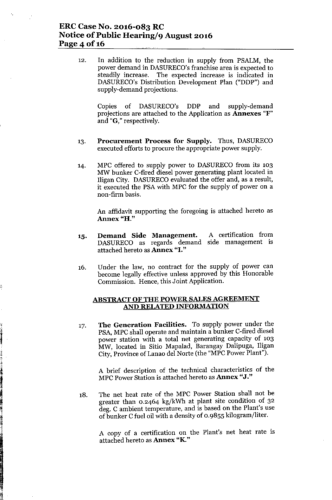# ERC Case No. 2016-083 RC Notice of Public Hearing/9 August 2016 Page 4 of 16

12. In addition to the reduction in supply from PSALM, the power demand in DASURECO's franchise area is expected to steadily increase. The expected increase is indicated in DASURECO's Distribution Development Plan ("DDP") and supply-demand projections.

Copies of DASURECO's DDP and supply-demand projections are attached to the Application as Annexes "F" and "G," respectively.

- 13. Procurement Process for Supply. Thus, DASURECO executed efforts to procure the appropriate power supply.
- 14. MPC offered to supply power to DASURECO from its 103 MW bunker C-fired diesel power generating plant located in Iligan City. DASURECO evaluated the offer and, as a result, it executed the PSA with MPC for the supply of power on a non-firm basis.

An affidavit supporting the foregoing is attached hereto as Annex "H."

- 15. Demand Side Management. DASURECO as regards demand side management is attached hereto as Annex "I." A certification from
- 16. Under the law, no contract for the supply of power can become legally effective unless approved by this Honorable Commission. Hence, this Joint Application.

# ABSTRACT OF THE POWER SALES AGREEMENT AND RELATED INFORMATION

17. The Generation Facilities. To supply power under the PSA, MPC shall operate and maintain a bunker C-fired diesel power station with a total net generating capacity of 103 MW, located in Sitio Mapalad, Barangay Dalipuga, Iligan City, Province of Lanao del Norte (the "MPC Power Plant").

J[ " .

> A brief description of the technical characteristics of the MPC Power Station is attached hereto as Annex "J."

18. The net heat rate of the MPC Power Station shall not be greater than 0.2464 kg/kWh at plant site condition of 32 deg. C ambient temperature, and is based on the Plant's use of bunker Cfuel oil with a density of 0.9855 kilogram/liter.

A copy of a certification on the Plant's net heat rate is attached hereto as Annex "K."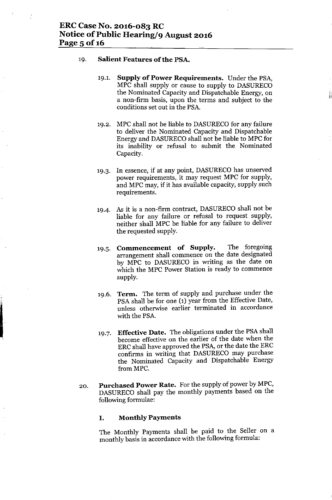#### 19. **Salient Features** of the **PSA.**

19.1. **Supply of Power Requirements.** Under the PSA MPC shall supply or cause to supply to DASURECO the Nominated Capacity and Dispatchable Energy, on a non-firm basis, upon the terms and subject to the conditions set out in the PSA.

 $\mathbb{R}^3$ 

- 19.2. MPC shall not be liable to DASURECO for any failure to deliver the Nominated Capacity and Dispatchable Energy and DASURECOshall not be liable to MPC for its inability or refusal to submit the Nominated Capacity.
- 19.3. In essence, if at any point, DASURECO has unserved power requirements, it may request MPC for supply, and MPC may, if it has available capacity, supply such requirements.
- 19-4. As it is a non-firm contract, DASURECO shall not be liable for any failure or refusal to request supply, neither shall MPC be liable for any failure to deliver the requested supply.
- 19.5. **Commencement of Supply.** The foregoing arrangement shall commence on the date designated by MPC to DASURECO in writing as the date on which the MPC Power Station is ready to commence supply.
- 19.6. **Term.** The term of supply and purchase under the PSA shall be for one (1) year from the Effective Date, unless otherwise earlier terminated in accordance with the PSA.
- 19.7. **Effective Date.** The obligations under the PSA shall become effective on the earlier of the date when the ERC shall have approved the PSA, or the date the ERC confirms in writing that DASURECO may purchase the Nominated Capacity and Dispatchable Energy from MPC.
- 20. **Purchased Power Rate.** For the supply of power by MPC, DASURECO shall pay the monthly payments based on the following formulae:

#### **I. Monthly Payments**

The Monthly Payments shall be paid to the Seller on a monthly basis in accordance with the following formula: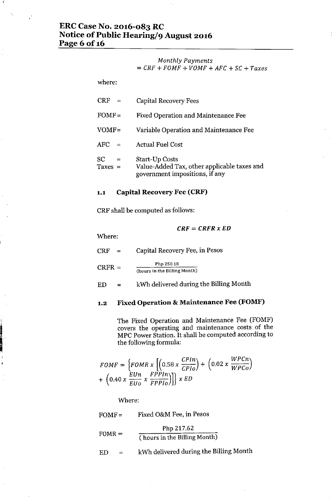# ERC Case No. 2016-083 RC Notice of Public Hearing/9 August 2016 Page 6 of 16

## *Monthly Payments = CRF* + *FOMF* + *VOMF* + *AFC* + SC + *Taxes*

where:

| $CRF =$                              | <b>Capital Recovery Fees</b>                                                                           |
|--------------------------------------|--------------------------------------------------------------------------------------------------------|
| $FOMF =$                             | <b>Fixed Operation and Maintenance Fee</b>                                                             |
| $VOMF =$                             | Variable Operation and Maintenance Fee                                                                 |
| <b>AFC</b><br>$\alpha = \frac{1}{2}$ | <b>Actual Fuel Cost</b>                                                                                |
| SC.<br>$=$<br>Taxes $=$              | <b>Start-Up Costs</b><br>Value-Added Tax, other applicable taxes and<br>government impositions, if any |

#### 1.1 Capital Recovery Fee (CRF)

CRF shall be computed as follows:

*CRF* = *CRFR x ED*

Where:

**In the company's company's company's company's company's company's company's company's company's company's company's company's company's company's company's company's company's company's company's company's company's comp** 

 $CRF =$ Capital Recovery Fee, in Pesos

 $CRFR =$ Php 250.18 (hours in the Billing Month)

 $ED =$ kWh delivered during the Billing Month

# 1.2 Fixed Operation & Maintenance Fee (FOMF)

The Fixed Operation and Maintenance Fee (FOMF) covers the operating and maintenance costs of the MPC Power Station. It shall be computed according to the following formula:

$$
FOMF = \left\{FOMR \times \left[\left(0.58 \times \frac{CPIn}{CPIo}\right) + \left(0.02 \times \frac{WPCn}{WPCo}\right) + \left(0.40 \times \frac{EUn}{EUo} \times \frac{FPPIn}{FPPIo}\right)\right]\right\} \times ED
$$

Where:

| $FOMF =$ | Fixed O&M Fee, in Pesos |  |  |  |  |
|----------|-------------------------|--|--|--|--|
|          | Php 217.62              |  |  |  |  |

$$
FORMR = \frac{1}{(\text{hours in the Billing Month})}
$$

 $ED =$ kWh delivered during the Billing Month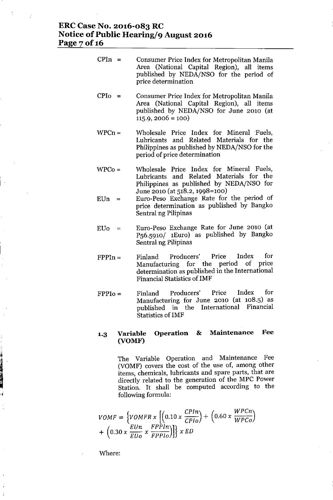# **ERCCase No. 2016-083 RC Notice** of Public **Hearing/9 August 2016** Page 7 of 16

| $CPIn =$  | Consumer Price Index for Metropolitan Manila<br>Area (National Capital Region), all items<br>published by NEDA/NSO for the period of<br>price determination |
|-----------|-------------------------------------------------------------------------------------------------------------------------------------------------------------|
| $CPI_0 =$ | Consumer Price Index for Metropolitan Manila<br>Area (Netional Cenital Begian) all items                                                                    |

- Area (National Capital Region), all items published by NEDA/NSO for June 2010 (at  $115.9, 2006 = 100$
- $WPCn=$ Wholesale Price Index for Mineral 'Fuels, Lubricants and Related Materials for the Philippines as published by NEDA/NSO for the period of price determination
- WPCo= Wholesale Price Index for Mineral Fuels, Lubricants and Related Materials for the Philippines as published by NEDA/NSO for June 2010 (at 518.2, 1998=100)
- $EUn =$ Euro-Peso Exchange Rate for the period of price determination as published by Bangko Sentral ng Pilipinas
- $EUo =$ Euro-Peso Exchange Rate for June 2010 (at P56.591O/ 1Euro) as published by Bangko Sentral ng Pilipinas
- $FPPIn =$ Finland Producers' Price Index for Manufacturing for the period of price determination as published in the International Financial Statistics of IMF
- $FPPI<sub>0</sub> =$ Finland Producers' Price Index for Manufacturing for June 2010 (at 108.5) as published in the International Financial Statistics of IMF

# **1.3 Variable Operation & Maintenance Fee (VOMF)**

The Variable Operation and Maintenance Fee (VOMF) covers the cost of the use of, among other items, chemicals, lubricants and spare parts, that are directly related to the generation of the MPC Power Station. It shall be computed according to the following formula:

$$
VOMF = \left\{ VOMFR \times \left[ \left( 0.10 \times \frac{CPIn}{CPIo} \right) + \left( 0.60 \times \frac{WPCn}{WPCo} \right) \right. \right. \\ + \left. \left( 0.30 \times \frac{EUn}{EUo} \times \frac{FPPIn}{FPPIo} \right) \right\} \times ED
$$

Where:

L<br>I Bernard Banderstein<br>I Bernard Banderstein

 $\mathcal{I}$ 

-i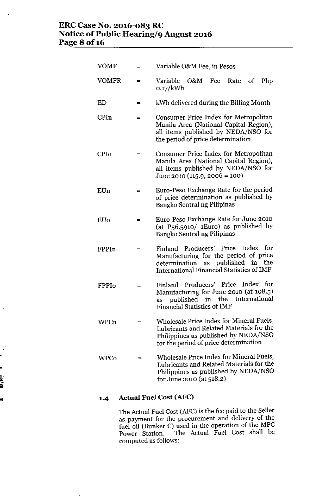# **ERCCase No. 2016-083 RC Notice** of Public **Hearing/9 August 2016 Page 8 of 16**

 $\mathbf{I}$ 

|                            | <b>VOMF</b>  | $=$ | Variable O&M Fee, in Pesos                                                                                                                                            |  |
|----------------------------|--------------|-----|-----------------------------------------------------------------------------------------------------------------------------------------------------------------------|--|
|                            | <b>VOMFR</b> | $=$ | Variable<br>O&M Fee Rate<br>Php<br><sub>of</sub><br>$0.17$ /kWh                                                                                                       |  |
|                            | ED           | $=$ | kWh delivered during the Billing Month                                                                                                                                |  |
|                            | CPIn         | =   | Consumer Price Index for Metropolitan<br>Manila Area (National Capital Region),<br>all items published by NEDA/NSO for<br>the period of price determination           |  |
|                            | <b>CPIo</b>  | $=$ | Consumer Price Index for Metropolitan<br>Manila Area (National Capital Region),<br>all items published by NEDA/NSO for<br>June 2010 (115.9, 2006 = 100)               |  |
|                            | EUn          | $=$ | Euro-Peso Exchange Rate for the period<br>of price determination as published by<br>Bangko Sentral ng Pilipinas                                                       |  |
|                            | <b>EUo</b>   | =   | Euro-Peso Exchange Rate for June 2010<br>(at $P_56.5910/$ 1 Euro) as published by<br>Bangko Sentral ng Pilipinas                                                      |  |
|                            | FPPIn        | $=$ | Finland Producers' Price Index for<br>Manufacturing for the period of price<br>determination as published in the<br>International Financial Statistics of IMF         |  |
|                            | FPPIo        | $=$ | Finland Producers' Price Index for<br>Manufacturing for June 2010 (at 108.5)<br>as published in the International<br>Financial Statistics of IMF                      |  |
|                            | WPCn         | $=$ | Wholesale Price Index for Mineral Fuels,<br>Lubricants and Related Materials for the<br>Philippines as published by NEDA/NSO<br>for the period of price determination |  |
| - 「『『『『『『『『』』<br>『『『『『『『』』 | <b>WPCo</b>  | $=$ | Wholesale Price Index for Mineral Fuels,<br>Lubricants and Related Materials for the<br>Philippines as published by NEDA/NSO<br>for June 2010 (at 518.2)              |  |
|                            | 1.4          |     | <b>Actual Fuel Cost (AFC)</b>                                                                                                                                         |  |

The Actual Fuel Cost (AFC) is the fee paid to the Seller as payment for the procurement and delivery of the fuel oil (Bunker C) used in the operation of the MPC Power Station. The Actual Fuel Cost shall be computed as follows: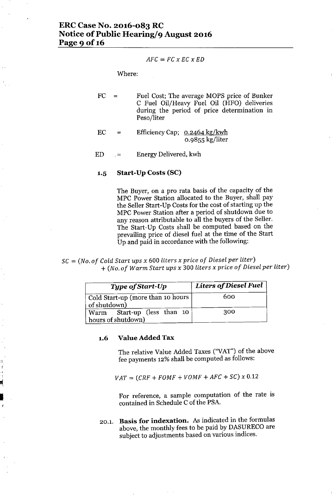$$
AFC = FC \times EC \times ED
$$

Where:

- FC  $=$ Fuel Cost; The average MOPS price of Bunker C Fuel Oil/Heavy Fuel Oil (HFO) deliveries during the period of price determination in Peso/liter
- EC = Efficiency Cap; 0.2464 kg/kwh 0.9855 kg/liter
- ED Energy Delivered, kwh  $=$

#### **1.5 Start-Up Costs (SC)**

The Buyer, on a pro rata basis of the capacity of the MPC Power Station allocated to the Buyer, shall pay the Seller Start-Up Costs for the cost of starting up the MPC Power Station after a period of shutdown due to any reason attributable to all the buyers of the Seller. The Start-Up Costs shall be computed based on the prevailing price of diesel fuel at the time of the Start Up and paid in accordance with the following:

SC = *(No. of Cold Start ups x* <sup>600</sup> *liters x price of Diesel per liter) + (N* o. *of Warm Start ups x* 300 *liters x price of Diesel per liter)*

| Type of Start-Up                                  | Liters of Diesel Fuel |  |
|---------------------------------------------------|-----------------------|--|
| Cold Start-up (more than 10 hours<br>of shutdown) | 600                   |  |
| Warm Start-up (less than 10<br>hours of shutdown) | 300                   |  |

#### **1.6 Value Added Tax**

.J I

 $\frac{1}{\mathbf{H}_\mathrm{c}}$  .

I

The relative Value Added Taxes ("VAT") of the above fee payments 12% shall be computed as follows:

*VAT* = *(CRF* + *FOMF* + *VOMF* + *AFC* + *SC) x 0.12*

For reference, a sample computation of the rate is contained in Schedule Cof the PSA.

20.1. **Basis for indexation.** As indicated in the formulas above, the monthly fees to be paid by DASURECO are subject to adjustments based on various indices.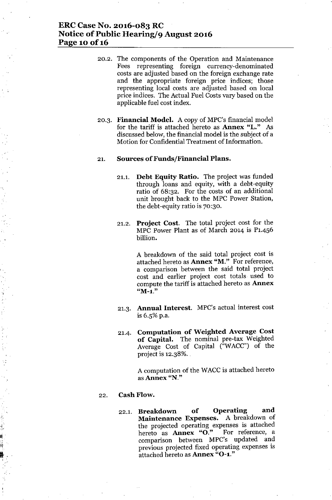# ERC Case No. 2016-083 RC Notice of Public Hearing/9 August 2016 Page 10 of 16

20.2. The components of the Operation and Maintenance Fees representing foreign currency-denominated costs are adjusted based on the foreign exchange rate and the appropriate foreign price indices; those representing local costs are adjusted based on local price indices. The Actual Fuel Costs vary based on the applicable fuel cost index.

J

20.3. Financial Model. A copy of MPC's financial model for the tariff is attached hereto as Annex "L." As discussed below, the financial model is the subject of a Motion for Confidential Treatment of Information.

#### 21. Sources of Funds/Financial Plans.

- 21.1. Debt Equity Ratio. The project was funded through loans and equity, with a debt-equity ratio of 68:32. For the costs of an additional unit brought back to the MPC Power Station, the debt-equity ratio is 70:30.
- 21.2. Project Cost. The total project cost for the MPC Power Plant as of March 2014 is P1.456 billion.

A breakdown of the said total project cost is attached hereto as Annex "M." For reference, a comparison between the said total project cost and earlier project cost totals. used to compute the tariff is attached hereto as **Annex "M-l."**

- 21.3. Annual Interest. MPC's actual interest cost is  $6.5\%$  p.a.
- 21.4. Computation of Weighted Average Cost of Capital. The nominal pre-tax Weighted Average Cost of Capital ("WACC") of the project is  $12.38\%$ .

A computation of the WACC is attached hereto as Annex "N."

#### 22. Cash Flow.

I. , . 22.1. Breakdown of Operating and Maintenance Expenses. A breakdown of the projected operating expenses is attached hereto as Annex "O." For reference, a comparison between MPC's updated and previous projected fixed operating expenses is attached hereto as Annex "O-1."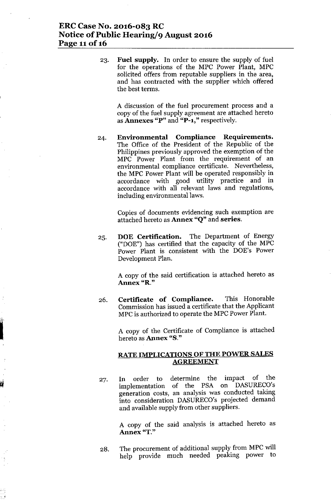# **ERC Case No. 2016-083 RC Notice** of Public **Hearing/9 August 2016 Page 11 of 16**

23. **Fuel supply. In** order to ensure the supply of fuel for the operations of the MPC Power Plant, MPC solicited offers from reputable suppliers in the area, and has contracted with the supplier which offered the best terms.

A discussion of the fuel procurement process and a copy of the fuel supply agreement are attached hereto as **Annexes** "P" and **"P-l,"** respectively.

24. **Environmental Compliance Requirements.** The Office of the President of the Republic of the Philippines previously approved the exemption of the MPC Power Plant from the requirement of an environmental compliance certificate. Nevertheless, the MPC Power Plant will be operated responsibly in accordance with good utility practice and in accordance with all relevant laws and regulations, including environmental laws.

> Copies of documents evidencing such exemption are attached hereto as **Annex** "Q" and **series.**

25. **DOE Certification.** The Department of Energy ("DOE") has certified that the capacity of the MPC Power Plant is consistent with the DOE's Power Development Plan.

> A copy of the said certification is attached hereto as **Annex** "R."

26. **Certificate of Compliance.** This Honorable Commission has issued a certificate that the Applicant MPC is authorized to operate the MPC Power Plant.

I.'I

A copy of the Certificate of Compliance is attached hereto as **Annex** "S."

#### **RATE IMPLICATIONS OF THE POWER SALES AGREEMENT**

27. In order to determine the impact of the implementation of the PSA on DASURECO's generation costs, an analysis was conducted taking into consideration DASURECO's projected demand and available supply from other suppliers.

> A copy of the said analysis is attached hereto as **Annex** "T."

28. The procurement of additional supply from MPC will help provide much needed peaking power to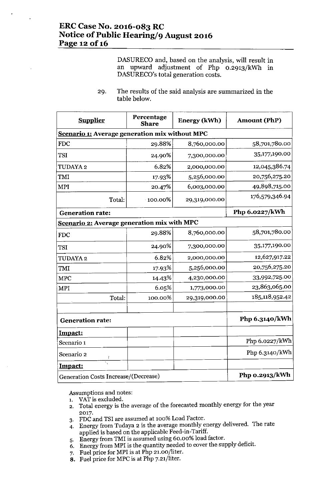DASURECO and, based on the analysis, will result in an upward adjustment of Php O.2913/kWh in DASURECO's total generation costs.

29. The results of the said analysis are summarized in the table below.

| <b>Supplier</b>                                       | Percentage<br><b>Share</b> | Energy (kWh)  | <b>Amount (PhP)</b> |  |  |  |  |  |
|-------------------------------------------------------|----------------------------|---------------|---------------------|--|--|--|--|--|
| <b>Scenario 1: Average generation mix without MPC</b> |                            |               |                     |  |  |  |  |  |
| <b>FDC</b>                                            | 29.88%                     | 8,760,000.00  | 58,701,780.00       |  |  |  |  |  |
| <b>TSI</b>                                            | 24.90%                     | 7,300,000.00  | 35,177,190.00       |  |  |  |  |  |
| TUDAYA 2                                              | 6.82%                      | 2,000,000.00  | 12,045,386.74       |  |  |  |  |  |
| TMI                                                   | 17.93%                     | 5,256,000.00  | 20,756,275.20       |  |  |  |  |  |
| <b>MPI</b>                                            | 20.47%                     | 6,003,000.00  | 49,898,715.00       |  |  |  |  |  |
| Total:                                                | $-100.00\%$                | 29,319,000.00 | 176,579,346.94      |  |  |  |  |  |
| <b>Generation rate:</b>                               | Php 6.0227/kWh             |               |                     |  |  |  |  |  |
| Scenario 2: Average generation mix with MPC           |                            |               |                     |  |  |  |  |  |
| <b>FDC</b>                                            | 29.88%                     | 8,760,000.00  | 58,701,780.00       |  |  |  |  |  |
| <b>TSI</b>                                            | 24.90%                     | 7,300,000.00  | 35,177,190.00       |  |  |  |  |  |
| TUDAYA 2                                              | 6.82%                      | 2,000,000.00  | 12,627,917.22       |  |  |  |  |  |
| TMI                                                   | 17.93%                     | 5,256,000.00  | 20,756,275.20       |  |  |  |  |  |
| <b>MPC</b>                                            | 14.43%                     | 4,230,000.00  | 33,992,725.00       |  |  |  |  |  |
| <b>MPI</b>                                            | 6.05%                      | 1,773,000.00  | 23,863,065.00       |  |  |  |  |  |
| Total:                                                | 100.00%                    | 29,319,000.00 | 185,118,952.42      |  |  |  |  |  |
| <b>Generation rate:</b>                               |                            |               | Php 6.3140/kWh      |  |  |  |  |  |
| Impact:                                               |                            |               |                     |  |  |  |  |  |
| Scenario 1                                            |                            |               | Php 6.0227/kWh      |  |  |  |  |  |
| Scenario 2                                            |                            |               | Php 6.3140/kWh      |  |  |  |  |  |
| Impact:                                               |                            |               |                     |  |  |  |  |  |
| Generation Costs Increase/(Decrease)                  | Php 0.2913/kWh             |               |                     |  |  |  |  |  |

Assumptions and notes:

- 1. VAT is excluded.
- 2. Total energy is the average of the forecasted monthly energy for the year 2017.
- 3. FDCand TSI are assumed at 100% Load Factor.
- 4. Energy from Tudaya 2 is the average monthly energy delivered. The rate applied is based on the applicable Feed-in-Tariff.
- 5. Energy from TMI is assumed using 60.00% load factor.
- 6. Energy from MPI is the quantity needed to cover the supply deficit.
- 7. Fuel price for MPI is at Php 21.00/liter.
- 8. Fuel price for MPC is at Php 7.21/liter.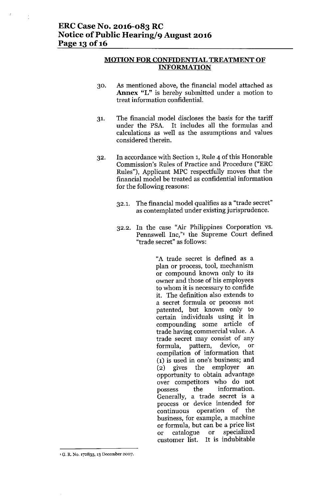# **MOTION FOR CONFIDENTIAL TREATMENT OF INFORMATION**

- 30. As mentioned above, the financial model attached as **Annex** "L" is hereby submitted under a motion to treat information confidential.
- 31. The financial model discloses the basis for the tariff under the PSA. It includes all the formulas and calculations as well as the assumptions and values considered therein.
- 32. In accordance with Section 1, Rule 4 of this Honorable Commission's Rules of Practice and Procedure ("ERC Rules"), Applicant MPC respectfully moves that the financial model be treated as confidential information for the following reasons:
	- 32.1. The financial model qualifies as a "trade secret" as contemplated under existing jurisprudence.
	- 32.2. In the case "Air Philippines Corporation vs. Pennswell Inc,"<sup>1</sup> the Supreme Court defined "trade secret" as follows:

"A trade secret is defined as a plan or process, tool, mechanism or compound known only to its owner and those of his employees to whom it is necessary to confide it. The definition also extends to a secret formula or process not patented, but known only to certain individuals using it in compounding some article of trade having commercial value. A trade secret may consist of any formula, pattern, device, or compilation of information that (1) is used in one's business; and (2) gives the employer an opportunity to obtain advantage over competitors who do not possess the information. Generally, a trade secret is a process or device intended for continuous operation of the business, for example, a machine or formula, but can be a price list or catalogue or specialized customer list. It is indubitable

**<sup>1</sup> G. R. No. 172835. 13 December 2007.**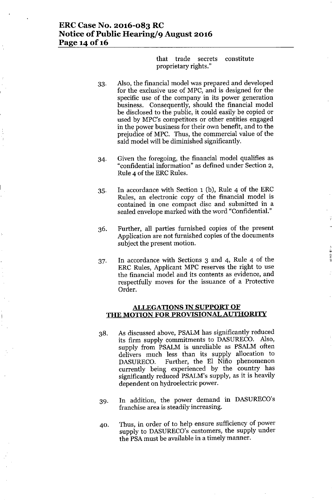# **ERCCase No. 2016-083 RC Notice of Public Hearing/9 August 2016 Page 140f16**

that trade secrets constitute proprietary rights."

- 33. Also, the financial model was prepared and developed for the exclusive use of MPC, and is designed for the specific use of the company in its power generation business. Consequently, should the financial model be disclosed to the public, it could easily be copied or used by MPC's competitors or other entities engaged in the power business for their own benefit, and to the prejudice of MPC. Thus, the commercial value of the said model will be diminished significantly.
- 34. Given the foregoing, the financial model qualifies as "confidential information" as defined under Section 2, Rule 4 of the ERC Rules.
- 35. In accordance with Section 1 (b), Rule 4 of the ERC Rules, an electronic copy of the financial model is contained in one compact disc and submitted in a sealed envelope marked with the word "Confidential."
- 36. Further, all parties furnished copies of the present Application are not furnished copies of the documents subject the present motion.
- 37. In accordance with Sections 3 and 4, Rule 4 of the ERC Rules, Applicant MPC reserves the right to use the financial model and its contents as evidence, and respectfully moves for the issuance of a Protective Order.

#### **ALLEGATIONS IN SUPPORT OF THE MOTION FOR PROVISIONAL AUTHORITY**

- 38. As discussed above, PSALM has significantly reduced its firm supply commitments to DASURECO. Also, supply from PSALM is unreliable as PSALM often delivers much less than its supply allocation to DASURECO. Further, the El Niño phenomenon currently being experienced by the country has significantly reduced PSALM's supply, as it is heavily dependent on hydroelectric power.
- 39. In addition, the power demand in DASURECO's franchise area is steadily increasing.
- 40. Thus, in order of to help ensure sufficiency of power supply to DASURECO's customers, the supply under the PSAmust be available in a timely manner.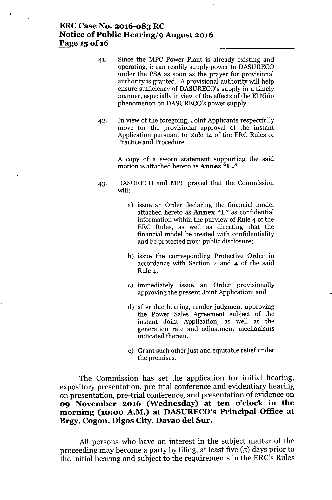# **ERCCase No. 2016-083 RC Notice** of Public **Hearing/9 August 2016 Page 15 of 16**

- 41. Since the MPC Power Plant is already existing and operating, it can readily supply power to DASURECO under the PSA as soon as the prayer for provisional authority is granted. A provisional authority will help ensure sufficiency of DASURECO's supply in a timely manner, especially in view of the effects of the EI Nino phenomenon on DASURECO's power supply.
- 42. In view of the foregoing, Joint Applicants respectfully move for the provisional approval of the instant Application pursuant to Rule 14 of the ERC Rules of Practice and Procedure.

A copy of a sworn statement supporting the said motion is attached hereto as Annex *"V."*

- 43. DASURECO and MPC prayed that the Commission will:
	- a) issue an Order declaring the financial model attached hereto as Annex "L" as confidential information within the purview of Rule 4 of the ERC Rules, as well as directing that the financial model be treated with confidentiality and be protected from public disclosure;
	- b) issue the corresponding Protective Order in accordance with Section 2 and 4 of the said Rule 4;
	- c) immediately issue an Order provisionally approving the present Joint Application; and
	- d) after due hearing, render judgment approving the Power Sales Agreement subject of the instant Joint Application, as well as the generation rate and adjustment mechanisms indicated therein.
	- e) Grant such other just and equitable relief under the premises.

The Commission has set the application for initial hearing, expository presentation, pre-trial conference and evidentiary hearing on presentation, pre-trial conference, and presentation of evidence on **09 November 2016 (Wednesday) at ten o'clock in the morning (10:00 A.M.) at DASURECO'sPrincipal Office at Brgy. Cogon, Digos City, Davao del Sur.**

All persons who have an interest in the subject matter of the proceeding may become a party by filing, at least five (5) days prior to the initial hearing and subject to the requirements in the ERC's Rules